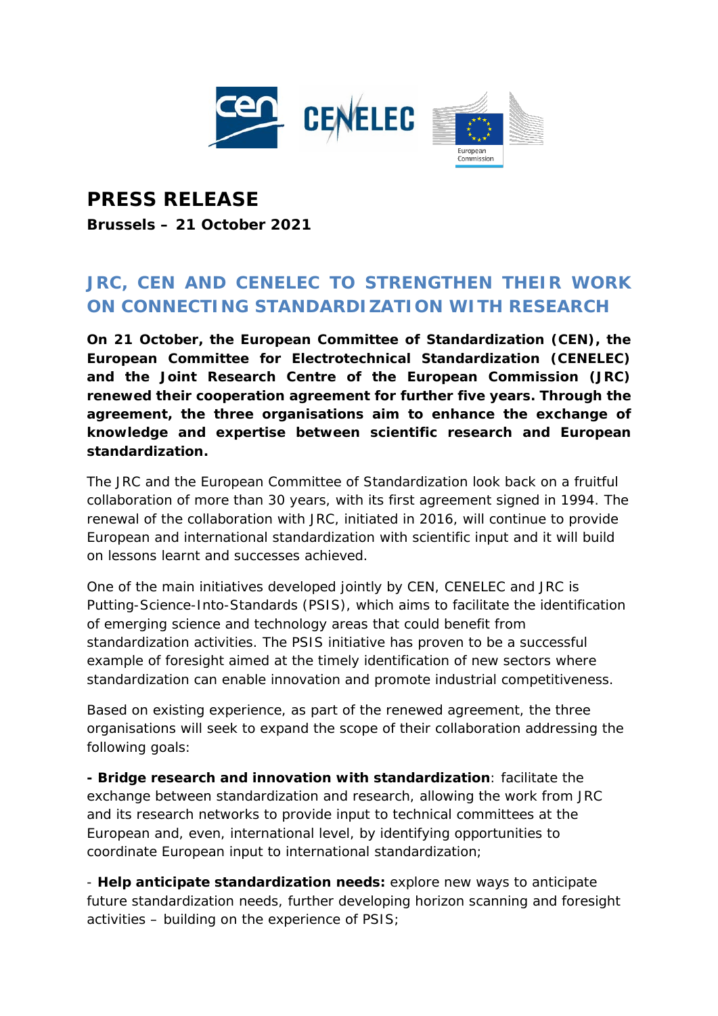

## **PRESS RELEASE Brussels – 21 October 2021**

## **JRC, CEN AND CENELEC TO STRENGTHEN THEIR WORK ON CONNECTING STANDARDIZATION WITH RESEARCH**

**On 21 October, the European Committee of Standardization (CEN), the European Committee for Electrotechnical Standardization (CENELEC) and the Joint Research Centre of the European Commission (JRC) renewed their cooperation agreement for further five years. Through the agreement, the three organisations aim to enhance the exchange of knowledge and expertise between scientific research and European standardization.**

The JRC and the European Committee of Standardization look back on a fruitful collaboration of more than 30 years, with its first agreement signed in 1994. The renewal of the collaboration with JRC, initiated in 2016, will continue to provide European and international standardization with scientific input and it will build on lessons learnt and successes achieved.

One of the main initiatives developed jointly by CEN, CENELEC and JRC is Putting-Science-Into-Standards (PSIS), which aims to facilitate the identification of emerging science and technology areas that could benefit from standardization activities. The PSIS initiative has proven to be a successful example of foresight aimed at the timely identification of new sectors where standardization can enable innovation and promote industrial competitiveness.

Based on existing experience, as part of the renewed agreement, the three organisations will seek to expand the scope of their collaboration addressing the following goals:

**- Bridge research and innovation with standardization**: facilitate the exchange between standardization and research, allowing the work from JRC and its research networks to provide input to technical committees at the European and, even, international level, by identifying opportunities to coordinate European input to international standardization;

- **Help anticipate standardization needs:** explore new ways to anticipate future standardization needs, further developing horizon scanning and foresight activities – building on the experience of PSIS;